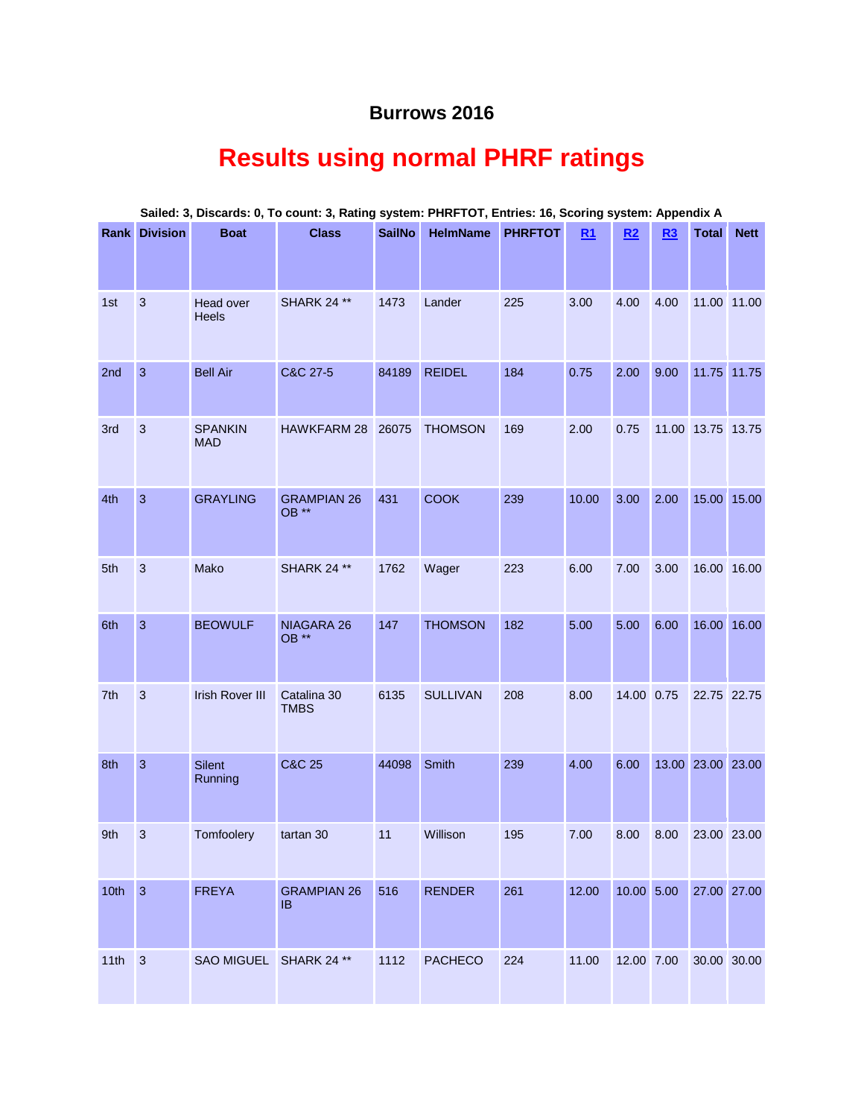## **Burrows 2016**

# **Results using normal PHRF ratings**

|      | <b>Rank Division</b> | <b>Boat</b>                  | <b>Class</b>                | <b>SailNo</b> | <b>HelmName</b> | <b>PHRFTOT</b> | R1    | R2         | R3   | <b>Total</b>           | <b>Nett</b> |
|------|----------------------|------------------------------|-----------------------------|---------------|-----------------|----------------|-------|------------|------|------------------------|-------------|
| 1st  | $\sqrt{3}$           | Head over<br>Heels           | <b>SHARK 24 **</b>          | 1473          | Lander          | 225            | 3.00  | 4.00       | 4.00 |                        | 11.00 11.00 |
| 2nd  | $\mathbf{3}$         | <b>Bell Air</b>              | C&C 27-5                    | 84189         | <b>REIDEL</b>   | 184            | 0.75  | 2.00       | 9.00 |                        | 11.75 11.75 |
| 3rd  | $\mathbf{3}$         | <b>SPANKIN</b><br><b>MAD</b> | HAWKFARM 28                 | 26075         | <b>THOMSON</b>  | 169            | 2.00  | 0.75       |      | 11.00 13.75 13.75      |             |
| 4th  | $\mathbf{3}$         | <b>GRAYLING</b>              | <b>GRAMPIAN 26</b><br>OB ** | 431           | <b>COOK</b>     | 239            | 10.00 | 3.00       | 2.00 |                        | 15.00 15.00 |
| 5th  | 3                    | Mako                         | <b>SHARK 24 **</b>          | 1762          | Wager           | 223            | 6.00  | 7.00       | 3.00 |                        | 16.00 16.00 |
| 6th  | 3                    | <b>BEOWULF</b>               | NIAGARA 26<br>OB **         | 147           | <b>THOMSON</b>  | 182            | 5.00  | 5.00       | 6.00 |                        | 16.00 16.00 |
| 7th  | 3                    | <b>Irish Rover III</b>       | Catalina 30<br><b>TMBS</b>  | 6135          | <b>SULLIVAN</b> | 208            | 8.00  | 14.00 0.75 |      | 22.75 22.75            |             |
| 8th  | 3                    | <b>Silent</b><br>Running     | <b>C&amp;C 25</b>           | 44098         | Smith           | 239            | 4.00  | 6.00       |      | 13.00 23.00 23.00      |             |
| 9th  | 3                    | Tomfoolery                   | tartan 30                   | 11            | Willison        | 195            | 7.00  | 8.00       | 8.00 | 23.00 23.00            |             |
| 10th | $\overline{3}$       | <b>FREYA</b>                 | <b>GRAMPIAN 26</b><br>IB.   | 516           | <b>RENDER</b>   | 261            | 12.00 |            |      | 10.00 5.00 27.00 27.00 |             |
| 11th | 3                    | SAO MIGUEL SHARK 24 **       |                             | 1112          | <b>PACHECO</b>  | 224            | 11.00 | 12.00 7.00 |      | 30.00 30.00            |             |

#### **Sailed: 3, Discards: 0, To count: 3, Rating system: PHRFTOT, Entries: 16, Scoring system: Appendix A**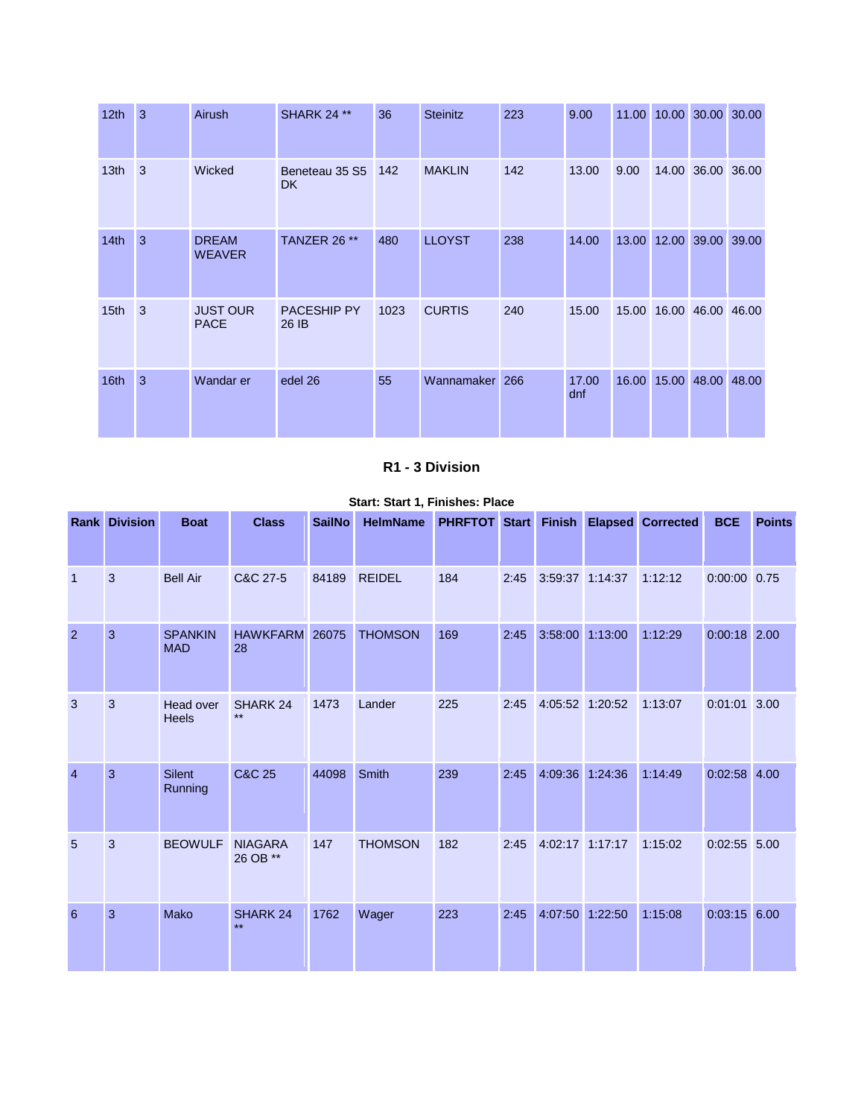| 12 <sub>th</sub> | 3              | Airush                         | <b>SHARK 24 **</b>          | 36   | <b>Steinitz</b> | 223 | 9.00         | 11.00 |       | 10.00 30.00 30.00       |  |
|------------------|----------------|--------------------------------|-----------------------------|------|-----------------|-----|--------------|-------|-------|-------------------------|--|
| 13 <sub>th</sub> | $\overline{3}$ | Wicked                         | Beneteau 35 S5<br><b>DK</b> | 142  | <b>MAKLIN</b>   | 142 | 13.00        | 9.00  |       | 14.00 36.00 36.00       |  |
| 14 <sub>th</sub> | 3              | <b>DREAM</b><br><b>WEAVER</b>  | TANZER 26 **                | 480  | <b>LLOYST</b>   | 238 | 14.00        |       |       | 13.00 12.00 39.00 39.00 |  |
| 15 <sub>th</sub> | $\overline{3}$ | <b>JUST OUR</b><br><b>PACE</b> | PACESHIP PY<br>26 IB        | 1023 | <b>CURTIS</b>   | 240 | 15.00        | 15.00 |       | 16.00 46.00 46.00       |  |
| 16th             | 3              | Wandar er                      | edel 26                     | 55   | Wannamaker 266  |     | 17.00<br>dnf | 16.00 | 15.00 | 48.00 48.00             |  |

#### **R1 - 3 Division**

|                | <b>Rank Division</b> | <b>Boat</b>                  | <b>Class</b>               | <b>SailNo</b> | <b>HelmName</b> | <b>PHRFTOT Start</b> |      | <b>Finish</b>   |         | <b>Elapsed Corrected</b> | <b>BCE</b>     | <b>Points</b> |
|----------------|----------------------|------------------------------|----------------------------|---------------|-----------------|----------------------|------|-----------------|---------|--------------------------|----------------|---------------|
| $\overline{1}$ | 3                    | <b>Bell Air</b>              | C&C 27-5                   | 84189         | <b>REIDEL</b>   | 184                  | 2:45 | 3:59:37 1:14:37 |         | 1:12:12                  | 0:00:00 0.75   |               |
| 2              | $\overline{3}$       | <b>SPANKIN</b><br><b>MAD</b> | <b>HAWKFARM</b><br>28      | 26075         | <b>THOMSON</b>  | 169                  | 2:45 | 3:58:00         | 1:13:00 | 1:12:29                  | $0:00:18$ 2.00 |               |
| 3              | $\mathbf{3}$         | Head over<br><b>Heels</b>    | SHARK 24<br>$***$          | 1473          | Lander          | 225                  | 2:45 | 4:05:52 1:20:52 |         | 1:13:07                  | 0:01:01        | 3.00          |
| $\overline{4}$ | $\overline{3}$       | <b>Silent</b><br>Running     | C&C 25                     | 44098         | Smith           | 239                  | 2:45 | 4:09:36         | 1:24:36 | 1:14:49                  | $0:02:58$ 4.00 |               |
| 5              | 3                    | <b>BEOWULF</b>               | <b>NIAGARA</b><br>26 OB ** | 147           | <b>THOMSON</b>  | 182                  | 2:45 | 4:02:17 1:17:17 |         | 1:15:02                  | $0:02:55$ 5.00 |               |
| 6              | 3                    | Mako                         | SHARK 24<br>$\star\star$   | 1762          | Wager           | 223                  | 2:45 | 4:07:50         | 1:22:50 | 1:15:08                  | $0:03:15$ 6.00 |               |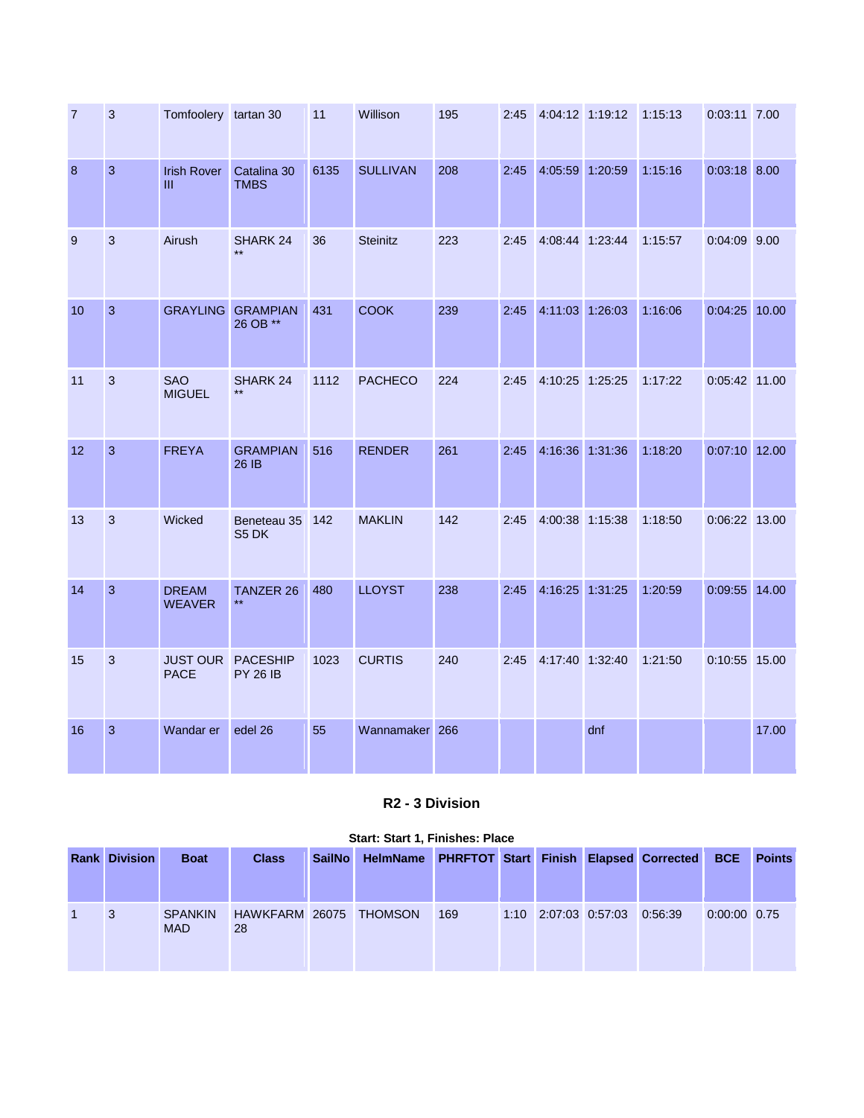| $\overline{7}$ | 3              | Tomfoolery tartan 30           |                                    | 11   | Willison        | 195 | 2:45 | 4:04:12 1:19:12 |         | 1:15:13 | 0:03:11 7.00   |       |
|----------------|----------------|--------------------------------|------------------------------------|------|-----------------|-----|------|-----------------|---------|---------|----------------|-------|
| 8              | $\mathbf{3}$   | <b>Irish Rover</b><br>Ш        | Catalina 30<br><b>TMBS</b>         | 6135 | <b>SULLIVAN</b> | 208 | 2:45 | 4:05:59 1:20:59 |         | 1:15:16 | $0:03:18$ 8.00 |       |
| 9              | 3              | Airush                         | SHARK 24<br>$**$                   | 36   | <b>Steinitz</b> | 223 | 2:45 | 4:08:44 1:23:44 |         | 1:15:57 | 0:04:09 9.00   |       |
| 10             | $\overline{3}$ | <b>GRAYLING</b>                | <b>GRAMPIAN</b><br>26 OB **        | 431  | <b>COOK</b>     | 239 | 2:45 | 4:11:03 1:26:03 |         | 1:16:06 | 0:04:25 10.00  |       |
| 11             | 3              | <b>SAO</b><br><b>MIGUEL</b>    | SHARK 24                           | 1112 | <b>PACHECO</b>  | 224 | 2:45 | 4:10:25 1:25:25 |         | 1:17:22 | 0:05:42 11.00  |       |
| 12             | $\overline{3}$ | <b>FREYA</b>                   | <b>GRAMPIAN</b><br>26 IB           | 516  | <b>RENDER</b>   | 261 | 2:45 | 4:16:36 1:31:36 |         | 1:18:20 | 0:07:10 12.00  |       |
| 13             | 3              | Wicked                         | Beneteau 35<br>S5 DK               | 142  | <b>MAKLIN</b>   | 142 | 2:45 | 4:00:38 1:15:38 |         | 1:18:50 | 0:06:22 13.00  |       |
| 14             | $\overline{3}$ | <b>DREAM</b><br><b>WEAVER</b>  | <b>TANZER 26</b><br>$***$          | 480  | <b>LLOYST</b>   | 238 | 2:45 | 4:16:25         | 1:31:25 | 1:20:59 | 0:09:55 14.00  |       |
| 15             | 3              | <b>JUST OUR</b><br><b>PACE</b> | <b>PACESHIP</b><br><b>PY 26 IB</b> | 1023 | <b>CURTIS</b>   | 240 | 2:45 | 4:17:40 1:32:40 |         | 1:21:50 | 0:10:55 15.00  |       |
| 16             | $\overline{3}$ | Wandar er                      | edel 26                            | 55   | Wannamaker 266  |     |      |                 | dnf     |         |                | 17.00 |

## **R2 - 3 Division**

## **Rank Division Boat Class SailNo HelmName PHRFTOT Start Finish Elapsed Corrected BCE Points** 1 3 SPANKIN MAD HAWKFARM 26075 THOMSON 28 169 1:10 2:07:03 0:57:03 0:56:39 0:00:00 0.75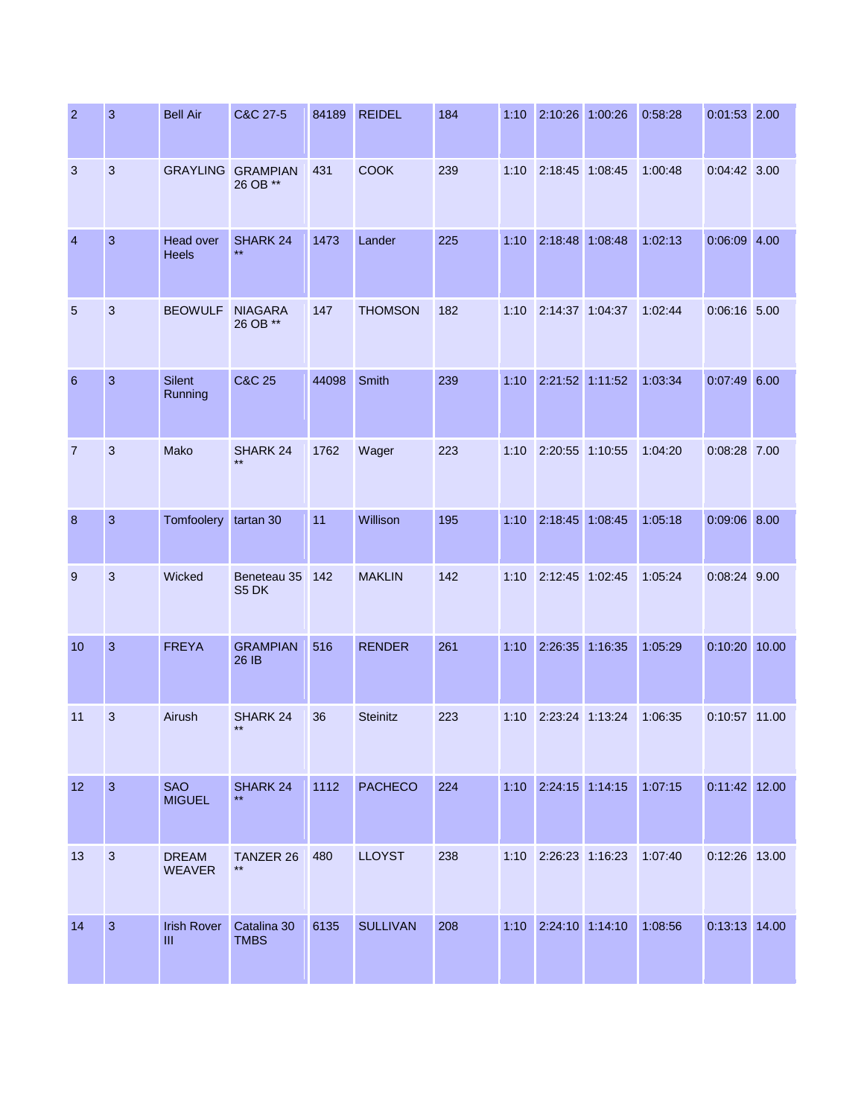| $\overline{2}$  | 3              | <b>Bell Air</b>               | C&C 27-5                    | 84189 | <b>REIDEL</b>   | 184 | 1:10 | 2:10:26 1:00:26      |         | 0:58:28 | $0:01:53$ 2.00  |       |
|-----------------|----------------|-------------------------------|-----------------------------|-------|-----------------|-----|------|----------------------|---------|---------|-----------------|-------|
| 3               | $\mathbf{3}$   | <b>GRAYLING</b>               | <b>GRAMPIAN</b><br>26 OB ** | 431   | <b>COOK</b>     | 239 | 1:10 | 2:18:45 1:08:45      |         | 1:00:48 | $0:04:42$ 3.00  |       |
| $\overline{4}$  | $\mathbf{3}$   | Head over<br><b>Heels</b>     | SHARK 24<br>$\star\star$    | 1473  | Lander          | 225 | 1:10 | 2:18:48              | 1:08:48 | 1:02:13 | $0:06:09$ 4.00  |       |
| $5\phantom{.0}$ | 3              | <b>BEOWULF</b>                | <b>NIAGARA</b><br>26 OB **  | 147   | <b>THOMSON</b>  | 182 | 1:10 | 2:14:37 1:04:37      |         | 1:02:44 | 0:06:16 5.00    |       |
| 6               | $\overline{3}$ | <b>Silent</b><br>Running      | <b>C&amp;C 25</b>           | 44098 | Smith           | 239 | 1:10 | 2:21:52 1:11:52      |         | 1:03:34 | $0:07:49$ 6.00  |       |
| $\overline{7}$  | 3              | Mako                          | SHARK 24                    | 1762  | Wager           | 223 | 1:10 | 2:20:55 1:10:55      |         | 1:04:20 | 0:08:28 7.00    |       |
| 8               | $\mathbf{3}$   | Tomfoolery                    | tartan 30                   | 11    | Willison        | 195 | 1:10 | 2:18:45 1:08:45      |         | 1:05:18 | $0:09:06$ 8.00  |       |
| 9               | 3              | Wicked                        | Beneteau 35<br>S5 DK        | 142   | <b>MAKLIN</b>   | 142 | 1:10 | 2:12:45 1:02:45      |         | 1:05:24 | 0:08:24 9.00    |       |
| 10              | $\overline{3}$ | <b>FREYA</b>                  | <b>GRAMPIAN</b><br>26 IB    | 516   | <b>RENDER</b>   | 261 | 1:10 | 2:26:35              | 1:16:35 | 1:05:29 | 0:10:20         | 10.00 |
| 11              | 3              | Airush                        | SHARK 24<br>$***$           | 36    | <b>Steinitz</b> | 223 | 1:10 | 2:23:24 1:13:24      |         | 1:06:35 | 0:10:57 11.00   |       |
| 12              | $\overline{3}$ | <b>SAO</b><br><b>MIGUEL</b>   | SHARK 24<br>$\star\star$    | 1112  | <b>PACHECO</b>  | 224 |      | 1:10 2:24:15 1:14:15 |         | 1:07:15 | $0:11:42$ 12.00 |       |
| 13              | $\mathbf{3}$   | <b>DREAM</b><br><b>WEAVER</b> | TANZER 26<br>$***$          | 480   | <b>LLOYST</b>   | 238 | 1:10 | 2:26:23 1:16:23      |         | 1:07:40 | 0:12:26 13.00   |       |
| 14              | $\mathbf{3}$   | <b>Irish Rover</b><br>Ш       | Catalina 30<br><b>TMBS</b>  | 6135  | <b>SULLIVAN</b> | 208 |      | 1:10 2:24:10 1:14:10 |         | 1:08:56 | 0:13:13 14.00   |       |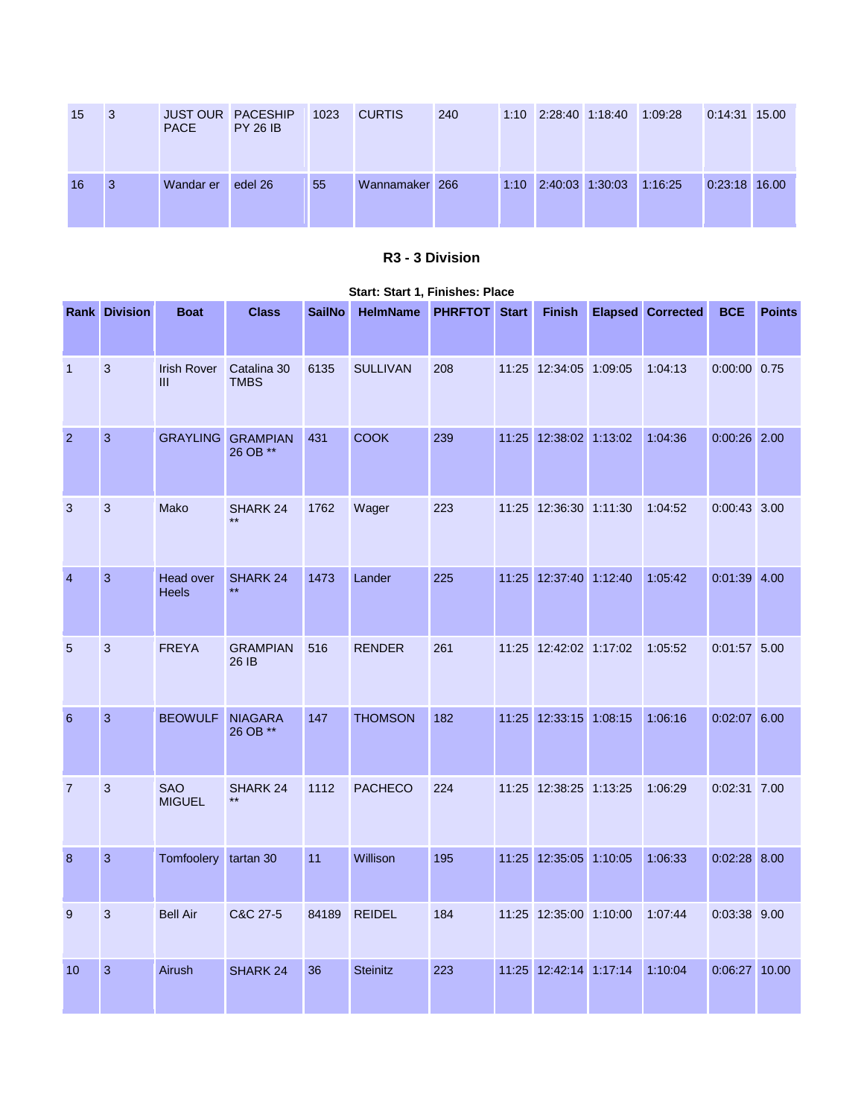| 15 | l 3 | <b>PACE</b> | <b>JUST OUR PACESHIP</b><br><b>PY 26 IB</b> | 1023 | <b>CURTIS</b>  | 240 | 1:10 2:28:40 1:18:40 | 1:09:28 | 0:14:31 15.00 |  |
|----|-----|-------------|---------------------------------------------|------|----------------|-----|----------------------|---------|---------------|--|
| 16 | -3  | Wandar er   | edel 26                                     | 55   | Wannamaker 266 |     | 1:10 2:40:03 1:30:03 | 1:16:25 | 0:23:18 16.00 |  |

### **R3 - 3 Division**

|                | <b>Rank Division</b> | <b>Boat</b>                          | <b>Class</b>                    | <b>SailNo</b> | <b>HelmName</b> | <b>PHRFTOT</b> | <b>Start</b> | <b>Finish</b>          | <b>Elapsed Corrected</b> | <b>BCE</b>     | <b>Points</b> |
|----------------|----------------------|--------------------------------------|---------------------------------|---------------|-----------------|----------------|--------------|------------------------|--------------------------|----------------|---------------|
| $\overline{1}$ | 3                    | <b>Irish Rover</b><br>$\mathbf{III}$ | Catalina 30<br><b>TMBS</b>      | 6135          | <b>SULLIVAN</b> | 208            |              | 11:25 12:34:05 1:09:05 | 1:04:13                  | 0:00:00 0.75   |               |
| $\overline{2}$ | 3                    | <b>GRAYLING</b>                      | <b>GRAMPIAN</b><br>26 OB **     | 431           | <b>COOK</b>     | 239            |              | 11:25 12:38:02 1:13:02 | 1:04:36                  | $0:00:26$ 2.00 |               |
| 3              | 3                    | Mako                                 | SHARK 24<br>$***$               | 1762          | Wager           | 223            |              | 11:25 12:36:30 1:11:30 | 1:04:52                  | $0:00:43$ 3.00 |               |
| $\overline{4}$ | 3                    | Head over<br><b>Heels</b>            | <b>SHARK 24</b><br>$\star\star$ | 1473          | Lander          | 225            |              | 11:25 12:37:40 1:12:40 | 1:05:42                  | $0:01:39$ 4.00 |               |
| 5              | 3                    | <b>FREYA</b>                         | <b>GRAMPIAN</b><br>26 IB        | 516           | <b>RENDER</b>   | 261            |              | 11:25 12:42:02 1:17:02 | 1:05:52                  | $0:01:57$ 5.00 |               |
| 6              | 3                    | <b>BEOWULF</b>                       | <b>NIAGARA</b><br>26 OB **      | 147           | <b>THOMSON</b>  | 182            |              | 11:25 12:33:15 1:08:15 | 1:06:16                  | $0:02:07$ 6.00 |               |
| $\overline{7}$ | 3                    | <b>SAO</b><br><b>MIGUEL</b>          | SHARK <sub>24</sub>             | 1112          | <b>PACHECO</b>  | 224            |              | 11:25 12:38:25 1:13:25 | 1:06:29                  | 0:02:31 7.00   |               |
| 8              | $\mathbf{3}$         | Tomfoolery tartan 30                 |                                 | 11            | Willison        | 195            |              | 11:25 12:35:05 1:10:05 | 1:06:33                  | $0:02:28$ 8.00 |               |
| 9              | 3                    | <b>Bell Air</b>                      | C&C 27-5                        | 84189         | <b>REIDEL</b>   | 184            |              | 11:25 12:35:00 1:10:00 | 1:07:44                  | 0:03:38 9.00   |               |
| 10             | 3                    | Airush                               | SHARK 24                        | 36            | <b>Steinitz</b> | 223            |              | 11:25 12:42:14 1:17:14 | 1:10:04                  | 0:06:27        | 10.00         |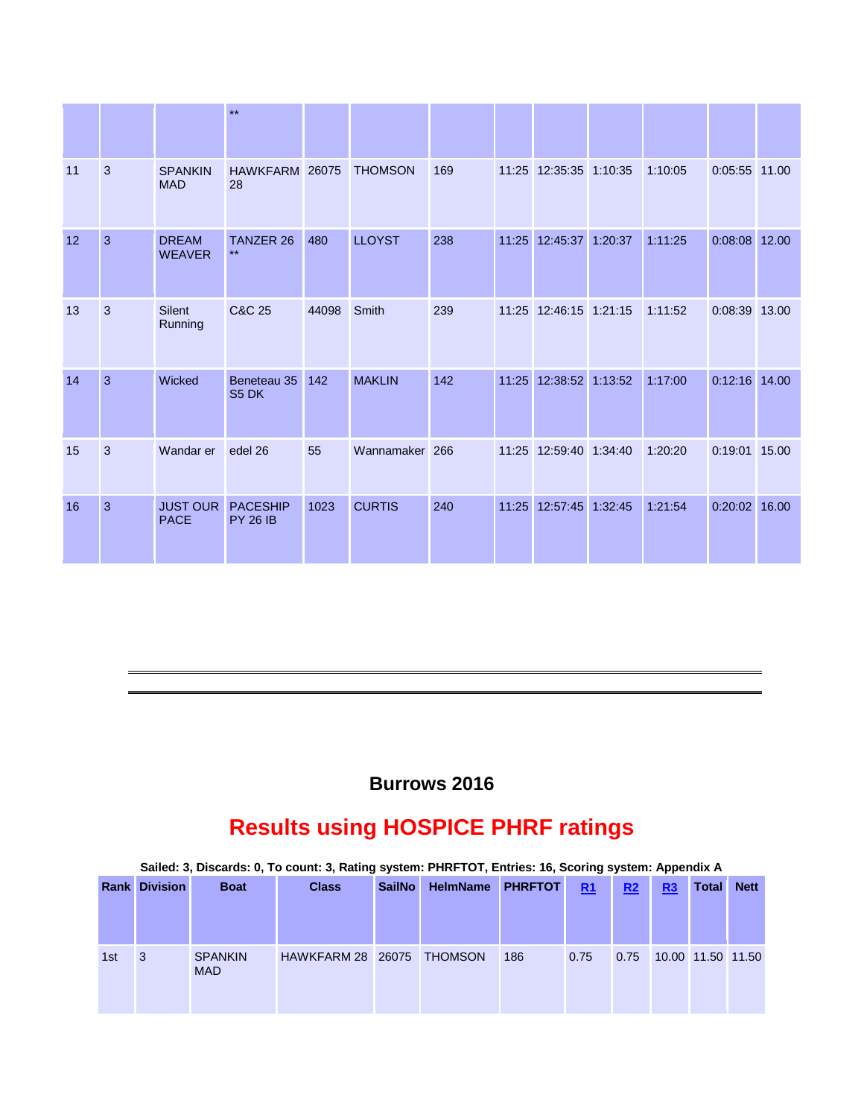|    |                |                                | $***$                              |       |                |     |       |                        |         |                 |       |
|----|----------------|--------------------------------|------------------------------------|-------|----------------|-----|-------|------------------------|---------|-----------------|-------|
| 11 | 3              | <b>SPANKIN</b><br><b>MAD</b>   | HAWKFARM 26075<br>28               |       | <b>THOMSON</b> | 169 |       | 11:25 12:35:35 1:10:35 | 1:10:05 | 0:05:55 11.00   |       |
| 12 | 3              | <b>DREAM</b><br><b>WEAVER</b>  | <b>TANZER 26</b><br>$***$          | 480   | <b>LLOYST</b>  | 238 |       | 11:25 12:45:37 1:20:37 | 1:11:25 | $0:08:08$ 12.00 |       |
| 13 | 3              | <b>Silent</b><br>Running       | C&C 25                             | 44098 | Smith          | 239 |       | 11:25 12:46:15 1:21:15 | 1:11:52 | 0:08:39 13.00   |       |
| 14 | $\overline{3}$ | Wicked                         | Beneteau 35<br>S5 DK               | 142   | <b>MAKLIN</b>  | 142 | 11:25 | 12:38:52 1:13:52       | 1:17:00 | $0:12:16$ 14.00 |       |
| 15 | 3              | Wandar er                      | edel 26                            | 55    | Wannamaker 266 |     | 11:25 | 12:59:40 1:34:40       | 1:20:20 | 0:19:01         | 15.00 |
| 16 | $\overline{3}$ | <b>JUST OUR</b><br><b>PACE</b> | <b>PACESHIP</b><br><b>PY 26 IB</b> | 1023  | <b>CURTIS</b>  | 240 |       | 11:25 12:57:45 1:32:45 | 1:21:54 | 0:20:02 16.00   |       |

# **Burrows 2016**

# **Results using HOSPICE PHRF ratings**

|      |                 |                              | Sailed: 3, Discards: 0, To count: 3, Rating system: PHRFTOT, Entries: 16, Scoring system: Appendix A |               |                 |                |      |                |    |                   |             |
|------|-----------------|------------------------------|------------------------------------------------------------------------------------------------------|---------------|-----------------|----------------|------|----------------|----|-------------------|-------------|
| Rank | <b>Division</b> | <b>Boat</b>                  | <b>Class</b>                                                                                         | <b>SailNo</b> | <b>HelmName</b> | <b>PHRFTOT</b> | R1   | R <sub>2</sub> | R3 | <b>Total</b>      | <b>Nett</b> |
|      |                 |                              |                                                                                                      |               |                 |                |      |                |    |                   |             |
| 1st  | 3               | <b>SPANKIN</b><br><b>MAD</b> | <b>HAWKFARM 28</b>                                                                                   | 26075         | <b>THOMSON</b>  | 186            | 0.75 | 0.75           |    | 10.00 11.50 11.50 |             |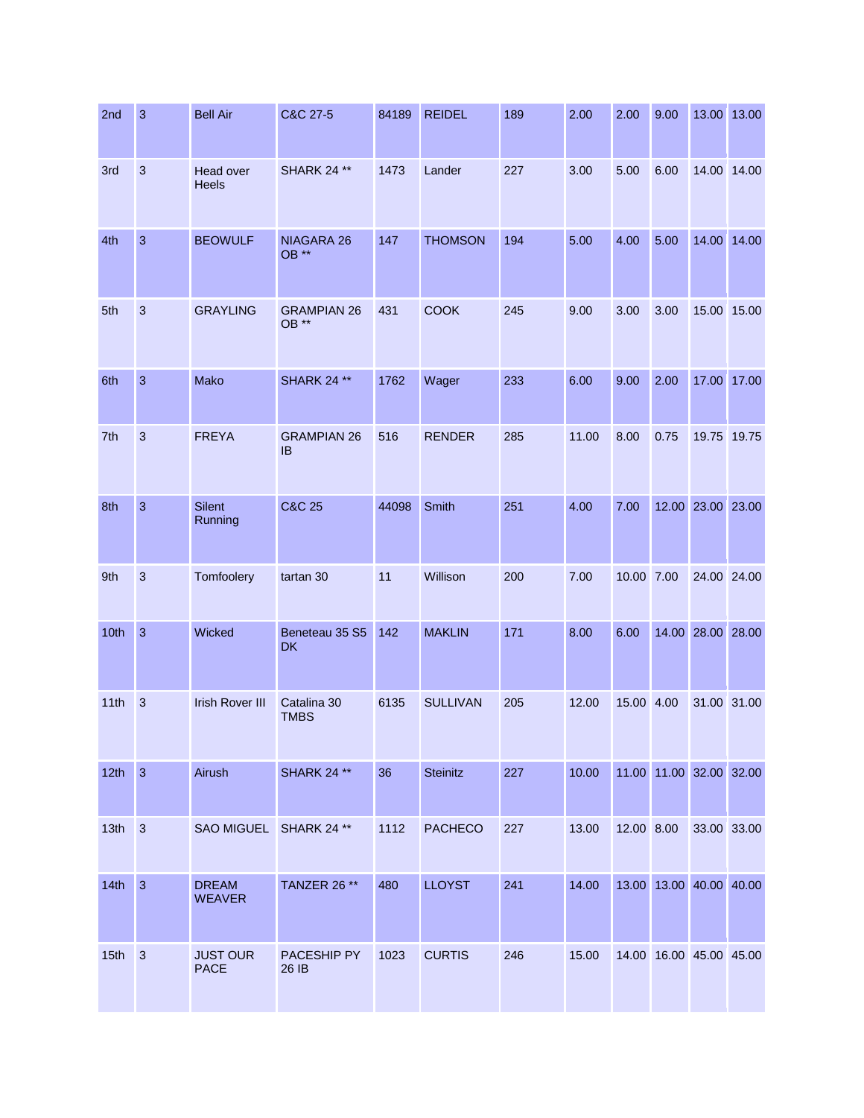| 2nd              | 3              | <b>Bell Air</b>                | C&C 27-5                        | 84189 | <b>REIDEL</b>   | 189 | 2.00  | 2.00       | 9.00 |                         | 13.00 13.00 |
|------------------|----------------|--------------------------------|---------------------------------|-------|-----------------|-----|-------|------------|------|-------------------------|-------------|
| 3rd              | $\mathbf{3}$   | Head over<br><b>Heels</b>      | <b>SHARK 24 **</b>              | 1473  | Lander          | 227 | 3.00  | 5.00       | 6.00 |                         | 14.00 14.00 |
| 4th              | $\mathbf{3}$   | <b>BEOWULF</b>                 | NIAGARA 26<br>OB **             | 147   | <b>THOMSON</b>  | 194 | 5.00  | 4.00       | 5.00 |                         | 14.00 14.00 |
| 5th              | 3              | <b>GRAYLING</b>                | <b>GRAMPIAN 26</b><br>OB **     | 431   | <b>COOK</b>     | 245 | 9.00  | 3.00       | 3.00 |                         | 15.00 15.00 |
| 6th              | $\overline{3}$ | Mako                           | <b>SHARK 24 **</b>              | 1762  | Wager           | 233 | 6.00  | 9.00       | 2.00 |                         | 17.00 17.00 |
| 7th              | 3              | <b>FREYA</b>                   | <b>GRAMPIAN 26</b><br><b>IB</b> | 516   | <b>RENDER</b>   | 285 | 11.00 | 8.00       | 0.75 |                         | 19.75 19.75 |
| 8th              | $\mathbf{3}$   | <b>Silent</b><br>Running       | <b>C&amp;C 25</b>               | 44098 | <b>Smith</b>    | 251 | 4.00  | 7.00       |      | 12.00 23.00 23.00       |             |
| 9th              | 3              | Tomfoolery                     | tartan 30                       | 11    | Willison        | 200 | 7.00  | 10.00 7.00 |      | 24.00 24.00             |             |
| 10th             | 3              | Wicked                         | Beneteau 35 S5<br><b>DK</b>     | 142   | <b>MAKLIN</b>   | 171 | 8.00  | 6.00       |      | 14.00 28.00 28.00       |             |
| 11th             | 3              | <b>Irish Rover III</b>         | Catalina 30<br><b>TMBS</b>      | 6135  | <b>SULLIVAN</b> | 205 | 12.00 | 15.00 4.00 |      | 31.00 31.00             |             |
| 12th             | $\overline{3}$ | Airush                         | <b>SHARK 24 **</b>              | 36    | <b>Steinitz</b> | 227 | 10.00 |            |      | 11.00 11.00 32.00 32.00 |             |
| 13 <sub>th</sub> | $\mathbf{3}$   | SAO MIGUEL SHARK 24 **         |                                 | 1112  | <b>PACHECO</b>  | 227 | 13.00 | 12.00 8.00 |      |                         | 33.00 33.00 |
| 14th             | $\overline{3}$ | <b>DREAM</b><br><b>WEAVER</b>  | TANZER 26 **                    | 480   | <b>LLOYST</b>   | 241 | 14.00 |            |      | 13.00 13.00 40.00 40.00 |             |
| 15 <sub>th</sub> | $\mathbf{3}$   | <b>JUST OUR</b><br><b>PACE</b> | PACESHIP PY<br>26 IB            | 1023  | <b>CURTIS</b>   | 246 | 15.00 |            |      | 14.00 16.00 45.00 45.00 |             |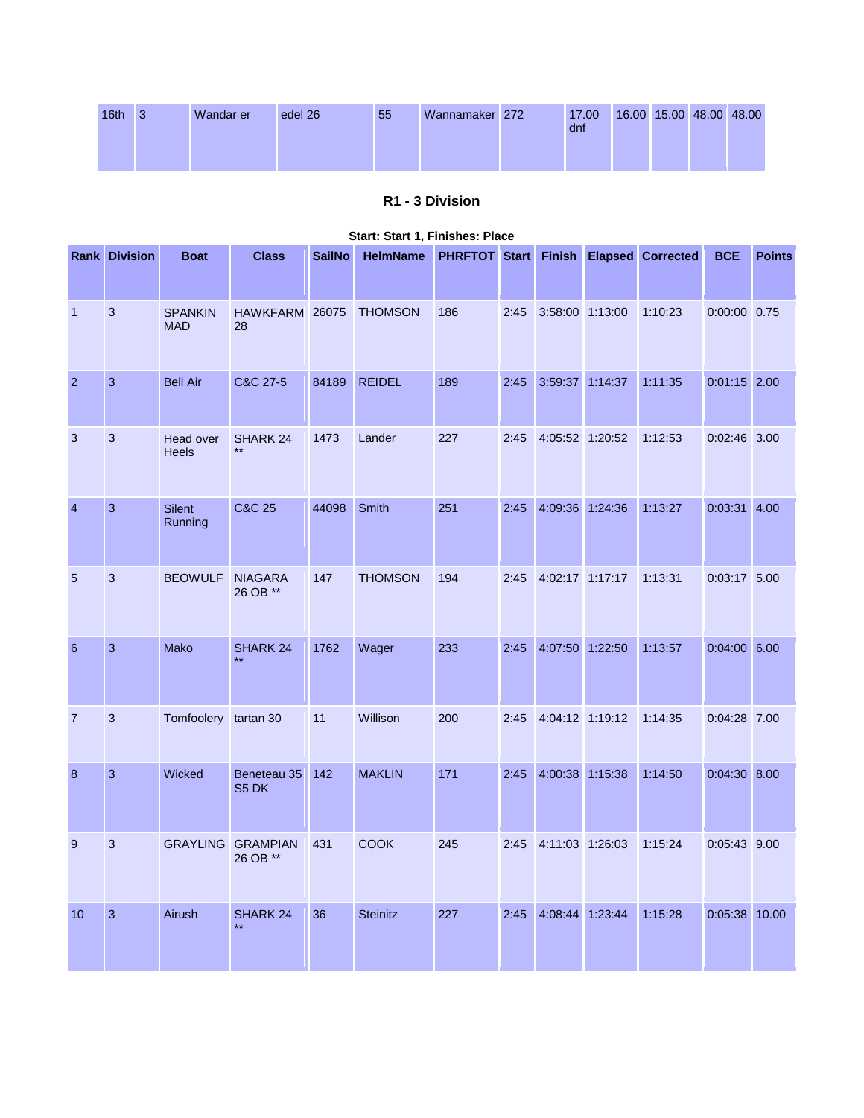| 16 <sup>th</sup> | -3 | Wandar er | edel 26 | 55 | Wannamaker 272 | 17.00<br>dnf |  | 16.00 15.00 48.00 48.00 |  |
|------------------|----|-----------|---------|----|----------------|--------------|--|-------------------------|--|
|                  |    |           |         |    |                |              |  |                         |  |

## **R1 - 3 Division**

|                | <b>Rank Division</b> | <b>Boat</b>                  | <b>Class</b>                    | <b>SailNo</b> | <b>HelmName</b> | PHRFTOT Start Finish |      |                 |         | <b>Elapsed</b> Corrected | <b>BCE</b>     | <b>Points</b> |
|----------------|----------------------|------------------------------|---------------------------------|---------------|-----------------|----------------------|------|-----------------|---------|--------------------------|----------------|---------------|
| $\mathbf{1}$   | $\mathbf{3}$         | <b>SPANKIN</b><br><b>MAD</b> | HAWKFARM 26075<br>28            |               | <b>THOMSON</b>  | 186                  | 2:45 | 3:58:00 1:13:00 |         | 1:10:23                  | 0:00:00 0.75   |               |
| $\overline{2}$ | 3                    | <b>Bell Air</b>              | C&C 27-5                        | 84189         | <b>REIDEL</b>   | 189                  | 2:45 | 3:59:37 1:14:37 |         | 1:11:35                  | $0:01:15$ 2.00 |               |
| 3              | 3                    | Head over<br><b>Heels</b>    | SHARK 24<br>$\star\star$        | 1473          | Lander          | 227                  | 2:45 | 4:05:52 1:20:52 |         | 1:12:53                  | 0:02:46 3.00   |               |
| $\overline{4}$ | $\mathbf{3}$         | <b>Silent</b><br>Running     | <b>C&amp;C 25</b>               | 44098         | Smith           | 251                  | 2:45 | 4:09:36 1:24:36 |         | 1:13:27                  | $0:03:31$ 4.00 |               |
| 5              | 3                    | <b>BEOWULF</b>               | <b>NIAGARA</b><br>26 OB **      | 147           | <b>THOMSON</b>  | 194                  | 2:45 | 4:02:17 1:17:17 |         | 1:13:31                  | 0:03:17 5.00   |               |
| 6              | 3                    | Mako                         | <b>SHARK 24</b><br>$\star\star$ | 1762          | Wager           | 233                  | 2:45 | 4:07:50         | 1:22:50 | 1:13:57                  | $0:04:00$ 6.00 |               |
| $\overline{7}$ | 3                    | Tomfoolery tartan 30         |                                 | 11            | Willison        | 200                  | 2:45 | 4:04:12 1:19:12 |         | 1:14:35                  | 0:04:28 7.00   |               |
| 8              | $\mathbf{3}$         | Wicked                       | Beneteau 35<br>S5 DK            | 142           | <b>MAKLIN</b>   | 171                  | 2:45 | 4:00:38 1:15:38 |         | 1:14:50                  | $0:04:30$ 8.00 |               |
| 9              | $\mathbf{3}$         | <b>GRAYLING</b>              | <b>GRAMPIAN</b><br>26 OB **     | 431           | COOK            | 245                  | 2:45 | 4:11:03 1:26:03 |         | 1:15:24                  | 0:05:43 9.00   |               |
| 10             | $\mathbf{3}$         | Airush                       | SHARK 24<br>$\star\star$        | 36            | <b>Steinitz</b> | 227                  | 2:45 | 4:08:44 1:23:44 |         | 1:15:28                  | 0:05:38 10.00  |               |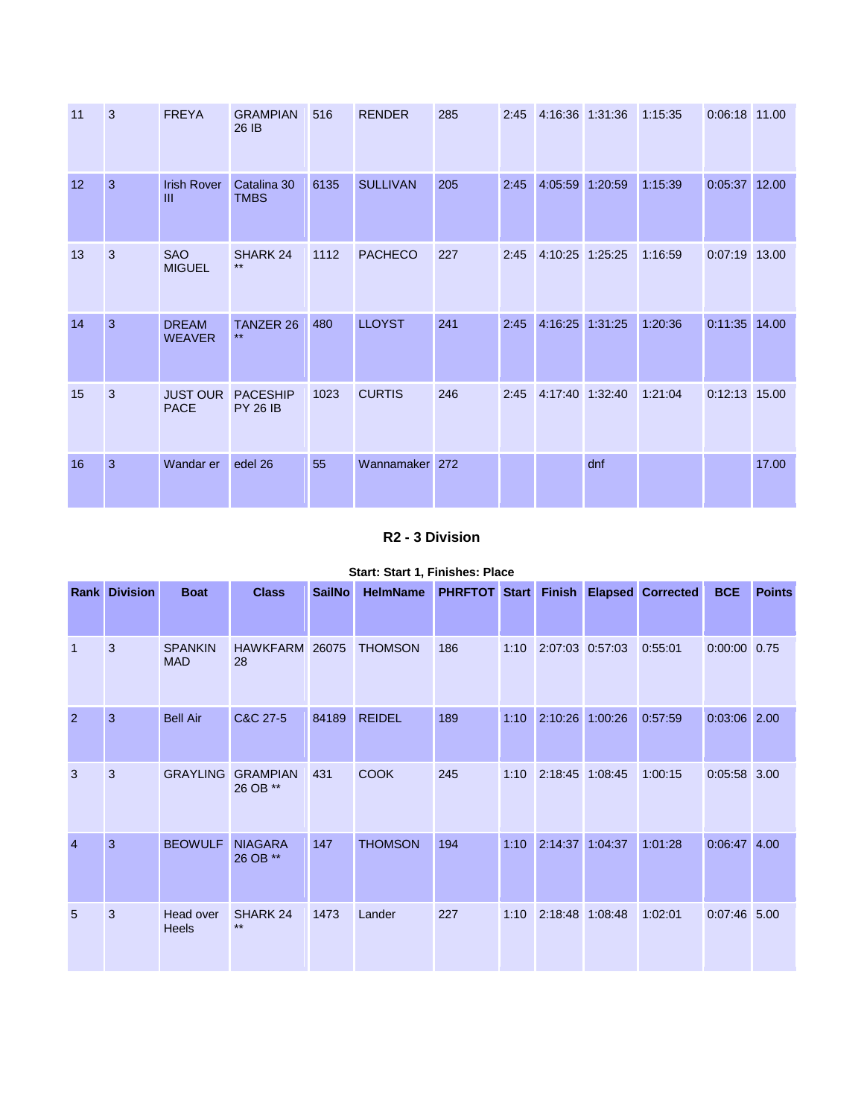| 11 | 3            | <b>FREYA</b>                       | <b>GRAMPIAN</b><br>26 IB           | 516  | <b>RENDER</b>   | 285 | 2:45 | 4:16:36 1:31:36 |     | 1:15:35 | 0:06:18 11.00   |       |
|----|--------------|------------------------------------|------------------------------------|------|-----------------|-----|------|-----------------|-----|---------|-----------------|-------|
| 12 | 3            | <b>Irish Rover</b><br>$\mathbf{m}$ | Catalina 30<br><b>TMBS</b>         | 6135 | <b>SULLIVAN</b> | 205 | 2:45 | 4:05:59 1:20:59 |     | 1:15:39 | $0:05:37$ 12.00 |       |
| 13 | 3            | <b>SAO</b><br><b>MIGUEL</b>        | SHARK 24<br>$***$                  | 1112 | <b>PACHECO</b>  | 227 | 2:45 | 4:10:25 1:25:25 |     | 1:16:59 | 0:07:19 13.00   |       |
| 14 | 3            | <b>DREAM</b><br><b>WEAVER</b>      | <b>TANZER 26</b><br>$***$          | 480  | <b>LLOYST</b>   | 241 | 2:45 | 4:16:25 1:31:25 |     | 1:20:36 | 0:11:35 14.00   |       |
| 15 | 3            | <b>JUST OUR</b><br><b>PACE</b>     | <b>PACESHIP</b><br><b>PY 26 IB</b> | 1023 | <b>CURTIS</b>   | 246 | 2:45 | 4:17:40 1:32:40 |     | 1:21:04 | $0:12:13$ 15.00 |       |
| 16 | $\mathbf{3}$ | Wandar er                          | edel 26                            | 55   | Wannamaker 272  |     |      |                 | dnf |         |                 | 17.00 |

### **R2 - 3 Division**

|                | <b>Rank Division</b> | <b>Boat</b>                  | <b>Class</b>                | <b>SailNo</b> | <b>HelmName</b> |     |      |                 | PHRFTOT Start Finish Elapsed Corrected | <b>BCE</b>     | <b>Points</b> |
|----------------|----------------------|------------------------------|-----------------------------|---------------|-----------------|-----|------|-----------------|----------------------------------------|----------------|---------------|
| $\overline{1}$ | 3                    | <b>SPANKIN</b><br><b>MAD</b> | <b>HAWKFARM</b><br>28       | 26075         | <b>THOMSON</b>  | 186 | 1:10 | 2:07:03 0:57:03 | 0:55:01                                | $0:00:00$ 0.75 |               |
| $\overline{2}$ | $\mathbf{3}$         | <b>Bell Air</b>              | C&C 27-5                    | 84189         | <b>REIDEL</b>   | 189 | 1:10 | 2:10:26 1:00:26 | 0:57:59                                | 0:03:06 2.00   |               |
| 3              | 3                    | <b>GRAYLING</b>              | <b>GRAMPIAN</b><br>26 OB ** | 431           | <b>COOK</b>     | 245 | 1:10 | 2:18:45 1:08:45 | 1:00:15                                | $0:05:58$ 3.00 |               |
| $\overline{4}$ | 3                    | <b>BEOWULF</b>               | <b>NIAGARA</b><br>26 OB **  | 147           | <b>THOMSON</b>  | 194 | 1:10 | 2:14:37 1:04:37 | 1:01:28                                | $0:06:47$ 4.00 |               |
| 5              | 3                    | Head over<br><b>Heels</b>    | SHARK 24<br>$**$            | 1473          | Lander          | 227 | 1:10 | 2:18:48 1:08:48 | 1:02:01                                | $0:07:46$ 5.00 |               |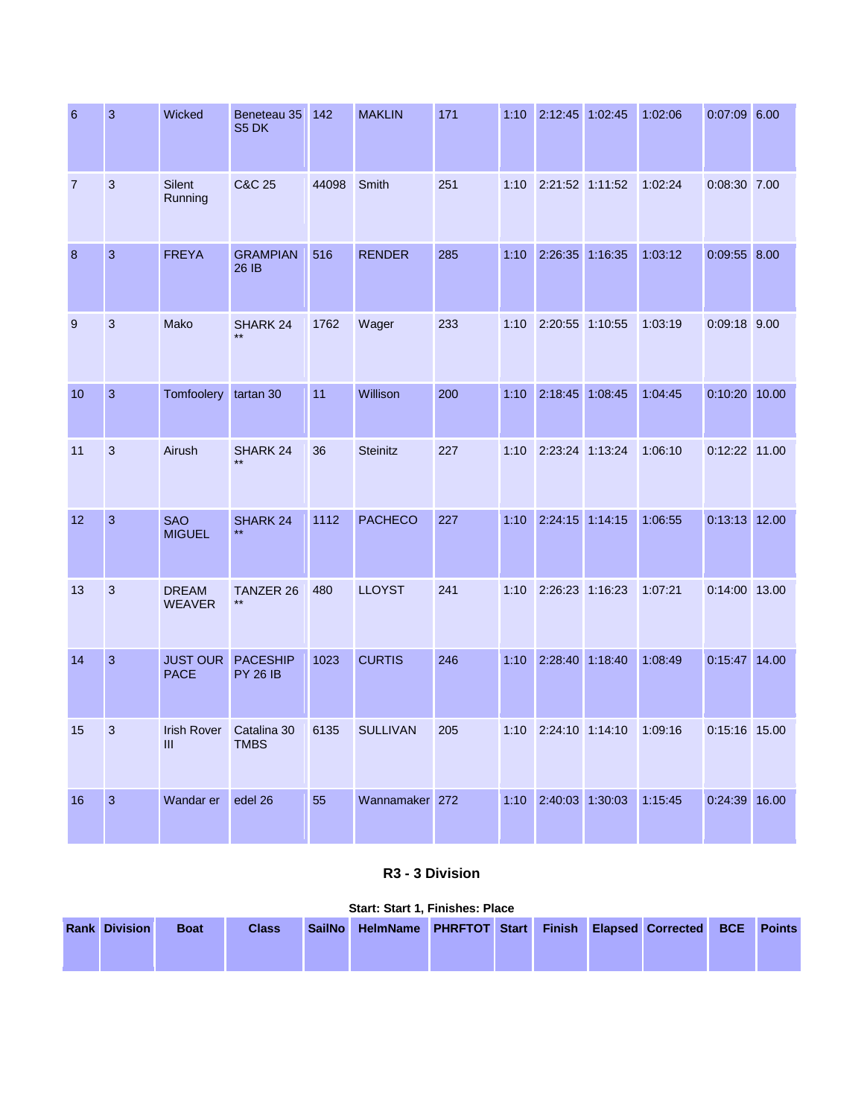| 6              | 3              | Wicked                         | Beneteau 35<br>S5 DK               | 142   | <b>MAKLIN</b>   | 171 | 1:10 | 2:12:45 1:02:45 |         | 1:02:06 | $0:07:09$ 6.00 |  |
|----------------|----------------|--------------------------------|------------------------------------|-------|-----------------|-----|------|-----------------|---------|---------|----------------|--|
| $\overline{7}$ | 3              | <b>Silent</b><br>Running       | C&C 25                             | 44098 | Smith           | 251 | 1:10 | 2:21:52 1:11:52 |         | 1:02:24 | 0:08:30 7.00   |  |
| 8              | $\overline{3}$ | <b>FREYA</b>                   | <b>GRAMPIAN</b><br>26 IB           | 516   | <b>RENDER</b>   | 285 | 1:10 | 2:26:35 1:16:35 |         | 1:03:12 | $0:09:55$ 8.00 |  |
| 9              | 3              | Mako                           | SHARK 24<br>$**$                   | 1762  | Wager           | 233 | 1:10 | 2:20:55 1:10:55 |         | 1:03:19 | 0:09:18 9.00   |  |
| 10             | $\mathbf{3}$   | <b>Tomfoolery</b>              | tartan 30                          | 11    | Willison        | 200 | 1:10 | 2:18:45 1:08:45 |         | 1:04:45 | 0:10:20 10.00  |  |
| 11             | 3              | Airush                         | SHARK 24                           | 36    | <b>Steinitz</b> | 227 | 1:10 | 2:23:24 1:13:24 |         | 1:06:10 | 0:12:22 11.00  |  |
| 12             | $\overline{3}$ | <b>SAO</b><br><b>MIGUEL</b>    | SHARK 24                           | 1112  | <b>PACHECO</b>  | 227 | 1:10 | 2:24:15 1:14:15 |         | 1:06:55 | 0:13:13 12.00  |  |
| 13             | 3              | <b>DREAM</b><br><b>WEAVER</b>  | <b>TANZER 26</b><br>$***$          | 480   | <b>LLOYST</b>   | 241 | 1:10 | 2:26:23 1:16:23 |         | 1:07:21 | 0:14:00 13.00  |  |
| 14             | $\overline{3}$ | <b>JUST OUR</b><br><b>PACE</b> | <b>PACESHIP</b><br><b>PY 26 IB</b> | 1023  | <b>CURTIS</b>   | 246 | 1:10 | 2:28:40         | 1:18:40 | 1:08:49 | 0:15:47 14.00  |  |
| 15             | 3              | <b>Irish Rover</b><br>Ш        | Catalina 30<br><b>TMBS</b>         | 6135  | <b>SULLIVAN</b> | 205 | 1:10 | 2:24:10 1:14:10 |         | 1:09:16 | 0:15:16 15.00  |  |
| 16             | $\overline{3}$ | Wandar er                      | edel 26                            | 55    | Wannamaker 272  |     | 1:10 | 2:40:03 1:30:03 |         | 1:15:45 | 0:24:39 16.00  |  |

### **R3 - 3 Division**

|                      |             |              |               |                                                            | <b>Start: Start 1, Finishes: Place</b> |  |  |  |  |  |  |  |  |  |  |  |  |  |
|----------------------|-------------|--------------|---------------|------------------------------------------------------------|----------------------------------------|--|--|--|--|--|--|--|--|--|--|--|--|--|
| <b>Rank Division</b> | <b>Boat</b> | <b>Class</b> | <b>SailNo</b> | HelmName PHRFTOT Start Finish Elapsed Corrected BCE Points |                                        |  |  |  |  |  |  |  |  |  |  |  |  |  |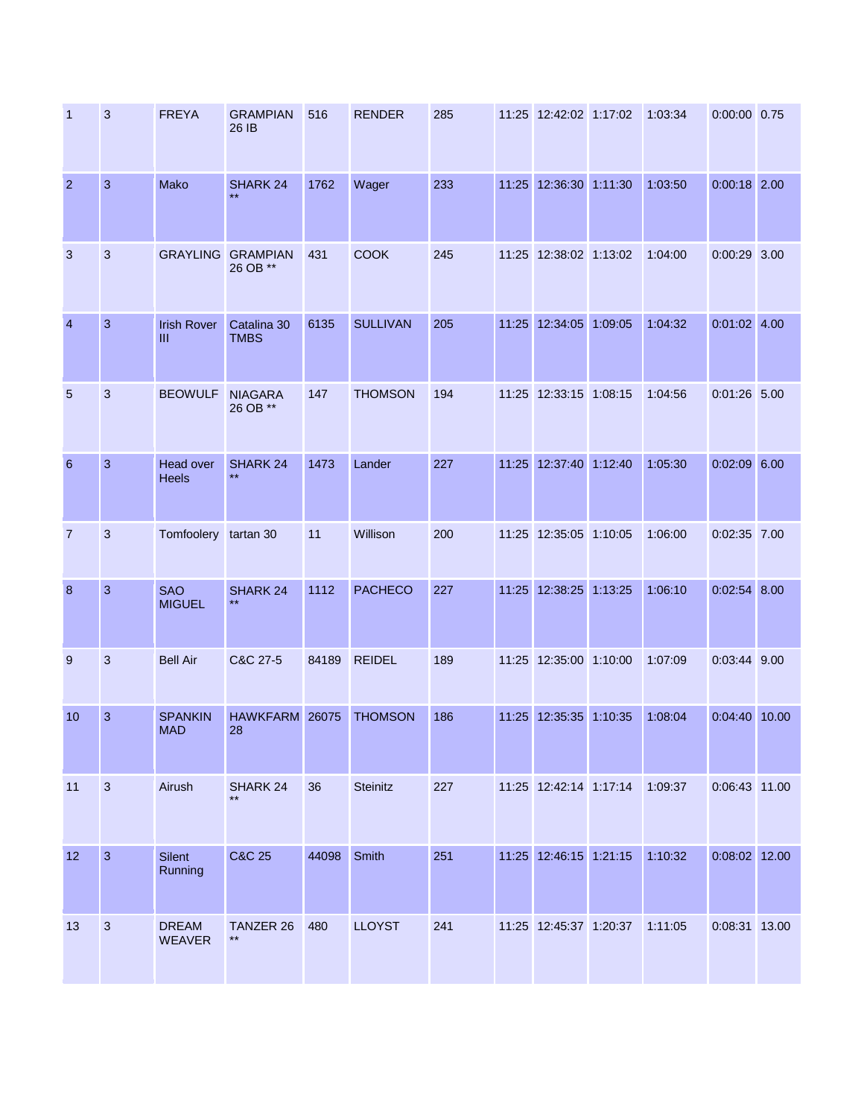| -1               | 3              | <b>FREYA</b>                 | <b>GRAMPIAN</b><br>26 IB             | 516   | <b>RENDER</b>   | 285 | 11:25 12:42:02 1:17:02 | 1:03:34 | $0:00:00$ 0.75 |  |
|------------------|----------------|------------------------------|--------------------------------------|-------|-----------------|-----|------------------------|---------|----------------|--|
| $\overline{2}$   | 3              | Mako                         | SHARK 24<br>$**$                     | 1762  | Wager           | 233 | 11:25 12:36:30 1:11:30 | 1:03:50 | $0:00:18$ 2.00 |  |
| $\mathbf{3}$     | $\mathbf{3}$   |                              | <b>GRAYLING GRAMPIAN</b><br>26 OB ** | 431   | <b>COOK</b>     | 245 | 11:25 12:38:02 1:13:02 | 1:04:00 | $0:00:29$ 3.00 |  |
| $\overline{4}$   | 3              | <b>Irish Rover</b><br>Ш      | Catalina 30<br><b>TMBS</b>           | 6135  | <b>SULLIVAN</b> | 205 | 11:25 12:34:05 1:09:05 | 1:04:32 | $0:01:02$ 4.00 |  |
| $5\overline{5}$  | $\mathbf{3}$   | <b>BEOWULF</b>               | <b>NIAGARA</b><br>26 OB **           | 147   | <b>THOMSON</b>  | 194 | 11:25 12:33:15 1:08:15 | 1:04:56 | $0:01:26$ 5.00 |  |
| $6\phantom{a}$   | 3              | Head over<br><b>Heels</b>    | SHARK <sub>24</sub><br>$***$         | 1473  | Lander          | 227 | 11:25 12:37:40 1:12:40 | 1:05:30 | $0:02:09$ 6.00 |  |
| $\overline{7}$   | 3              | Tomfoolery tartan 30         |                                      | 11    | Willison        | 200 | 11:25 12:35:05 1:10:05 | 1:06:00 | $0:02:35$ 7.00 |  |
| $\boldsymbol{8}$ | $\mathbf{3}$   | <b>SAO</b><br><b>MIGUEL</b>  | <b>SHARK 24</b><br>$***$             | 1112  | <b>PACHECO</b>  | 227 | 11:25 12:38:25 1:13:25 | 1:06:10 | $0:02:54$ 8.00 |  |
| 9                | 3              | <b>Bell Air</b>              | C&C 27-5                             | 84189 | <b>REIDEL</b>   | 189 | 11:25 12:35:00 1:10:00 | 1:07:09 | $0:03:44$ 9.00 |  |
| 10               | 3              | <b>SPANKIN</b><br><b>MAD</b> | HAWKFARM 26075<br>28                 |       | <b>THOMSON</b>  | 186 | 11:25 12:35:35 1:10:35 | 1:08:04 | 0:04:40 10.00  |  |
| 11               | $\overline{3}$ | Airush                       | SHARK 24<br>$***$                    | 36    | Steinitz        | 227 | 11:25 12:42:14 1:17:14 | 1:09:37 | 0:06:43 11.00  |  |
| 12               | 3              | Silent<br>Running            | <b>C&amp;C 25</b>                    | 44098 | Smith           | 251 | 11:25 12:46:15 1:21:15 | 1:10:32 | 0:08:02 12.00  |  |
| 13               | $\overline{3}$ | <b>DREAM</b><br>WEAVER       | TANZER 26<br>$***$                   | 480   | <b>LLOYST</b>   | 241 | 11:25 12:45:37 1:20:37 | 1:11:05 | 0:08:31 13.00  |  |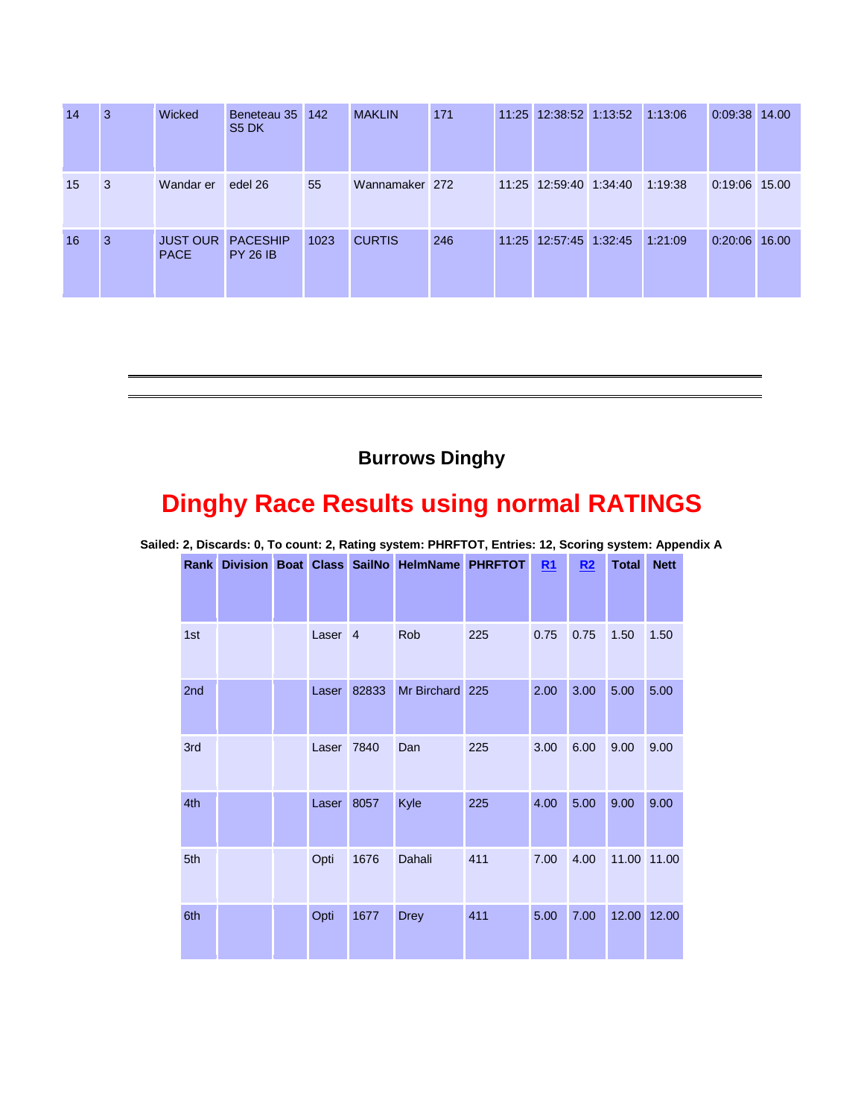| 14 | 3  | Wicked                         | Beneteau 35<br>S <sub>5</sub> DK   | 142  | <b>MAKLIN</b>  | 171 | 11:25 12:38:52 1:13:52 | 1:13:06 | $0:09:38$ 14.00 |  |
|----|----|--------------------------------|------------------------------------|------|----------------|-----|------------------------|---------|-----------------|--|
| 15 | -3 | Wandar er                      | edel 26                            | 55   | Wannamaker 272 |     | 11:25 12:59:40 1:34:40 | 1:19:38 | 0:19:06 15.00   |  |
| 16 | 3  | <b>JUST OUR</b><br><b>PACE</b> | <b>PACESHIP</b><br><b>PY 26 IB</b> | 1023 | <b>CURTIS</b>  | 246 | 11:25 12:57:45 1:32:45 | 1:21:09 | $0:20:06$ 16.00 |  |

## **Burrows Dinghy**

# **Dinghy Race Results using normal RATINGS**

| Rank | Division Boat Class SailNo |                    |       | <b>HelmName PHRFTOT</b> |     | R1   | R2   | <b>Total</b> | <b>Nett</b> |
|------|----------------------------|--------------------|-------|-------------------------|-----|------|------|--------------|-------------|
|      |                            |                    |       |                         |     |      |      |              |             |
| 1st  |                            | Laser <sub>4</sub> |       | Rob                     | 225 | 0.75 | 0.75 | 1.50         | 1.50        |
| 2nd  |                            | Laser              | 82833 | Mr Birchard 225         |     | 2.00 | 3.00 | 5.00         | 5.00        |
| 3rd  |                            | Laser              | 7840  | Dan                     | 225 | 3.00 | 6.00 | 9.00         | 9.00        |
| 4th  |                            | Laser              | 8057  | Kyle                    | 225 | 4.00 | 5.00 | 9.00         | 9.00        |
| 5th  |                            | Opti               | 1676  | Dahali                  | 411 | 7.00 | 4.00 | 11.00        | 11.00       |
| 6th  |                            | Opti               | 1677  | <b>Drey</b>             | 411 | 5.00 | 7.00 | 12.00        | 12.00       |

**Sailed: 2, Discards: 0, To count: 2, Rating system: PHRFTOT, Entries: 12, Scoring system: Appendix A**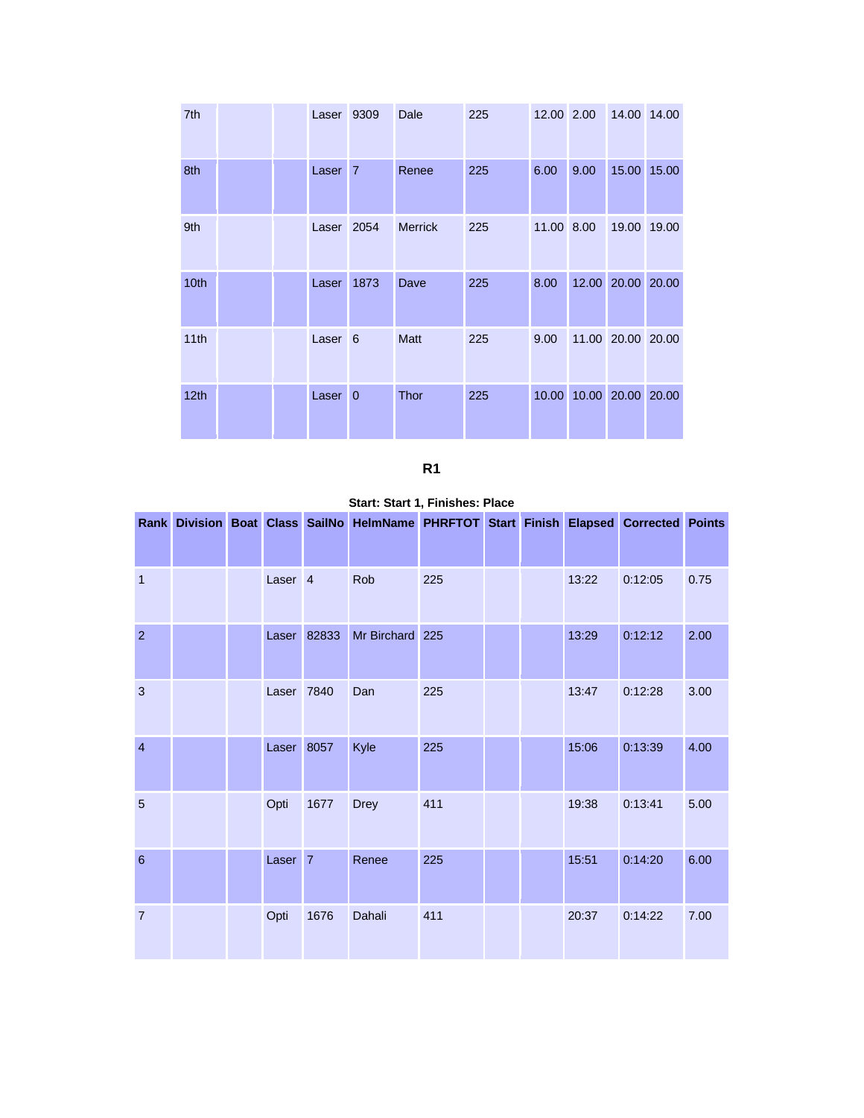| 7th              |  | Laser 9309         |              | Dale           | 225 |            | 12.00 2.00              |                   | 14.00 14.00 |
|------------------|--|--------------------|--------------|----------------|-----|------------|-------------------------|-------------------|-------------|
| 8th              |  | Laser <sub>7</sub> |              | Renee          | 225 | 6.00       | 9.00                    |                   | 15.00 15.00 |
| 9th              |  | Laser 2054         |              | <b>Merrick</b> | 225 | 11.00 8.00 |                         |                   | 19.00 19.00 |
| 10th             |  | Laser              | 1873         | Dave           | 225 | 8.00       |                         | 12.00 20.00 20.00 |             |
| 11th             |  | Laser <sub>6</sub> |              | <b>Matt</b>    | 225 | 9.00       |                         | 11.00 20.00 20.00 |             |
| 12 <sub>th</sub> |  | Laser              | $\mathbf{0}$ | <b>Thor</b>    | 225 |            | 10.00 10.00 20.00 20.00 |                   |             |

**Start: Start 1, Finishes: Place** 

|                |  |                    |             | Rank Division Boat Class SailNo HelmName PHRFTOT Start Finish Elapsed Corrected Points |     |  |       |         |      |
|----------------|--|--------------------|-------------|----------------------------------------------------------------------------------------|-----|--|-------|---------|------|
| 1              |  | Laser <sub>4</sub> |             | Rob                                                                                    | 225 |  | 13:22 | 0:12:05 | 0.75 |
| $\overline{2}$ |  |                    | Laser 82833 | Mr Birchard 225                                                                        |     |  | 13:29 | 0:12:12 | 2.00 |
| $\mathbf{3}$   |  | Laser 7840         |             | Dan                                                                                    | 225 |  | 13:47 | 0:12:28 | 3.00 |
| $\overline{4}$ |  | Laser 8057         |             | Kyle                                                                                   | 225 |  | 15:06 | 0:13:39 | 4.00 |
| $\overline{5}$ |  | Opti               | 1677        | <b>Drey</b>                                                                            | 411 |  | 19:38 | 0:13:41 | 5.00 |
| 6              |  | Laser <sub>7</sub> |             | Renee                                                                                  | 225 |  | 15:51 | 0:14:20 | 6.00 |
| $\overline{7}$ |  | Opti               | 1676        | Dahali                                                                                 | 411 |  | 20:37 | 0:14:22 | 7.00 |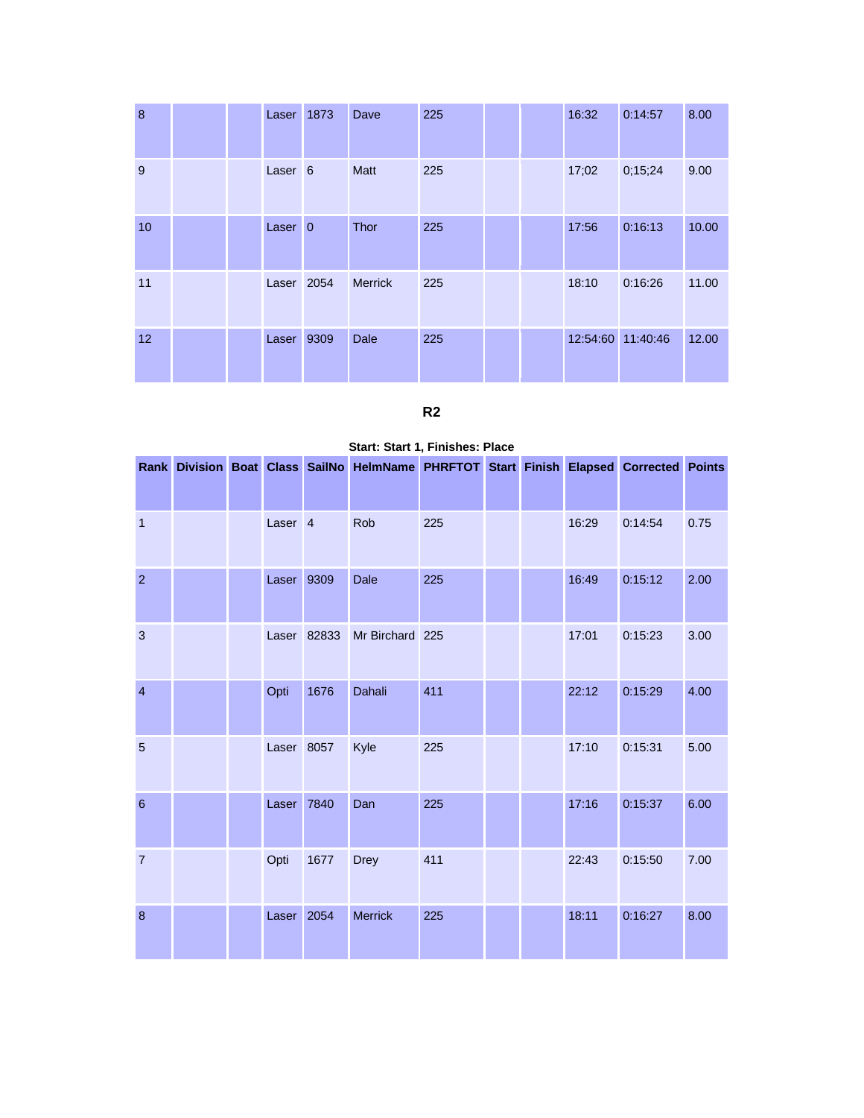| 8  |  | Laser              | 1873 | Dave           | 225 |  | 16:32 | 0:14:57           | 8.00  |
|----|--|--------------------|------|----------------|-----|--|-------|-------------------|-------|
| 9  |  | Laser <sub>6</sub> |      | <b>Matt</b>    | 225 |  | 17;02 | 0;15;24           | 9.00  |
| 10 |  | Laser <sub>0</sub> |      | <b>Thor</b>    | 225 |  | 17:56 | 0:16:13           | 10.00 |
| 11 |  | Laser 2054         |      | <b>Merrick</b> | 225 |  | 18:10 | 0:16:26           | 11.00 |
| 12 |  | Laser 9309         |      | <b>Dale</b>    | 225 |  |       | 12:54:60 11:40:46 | 12.00 |

## **R2**

|                  |  |                    |             | Rank Division Boat Class SailNo HelmName PHRFTOT Start Finish Elapsed Corrected Points |     |  |       |         |      |
|------------------|--|--------------------|-------------|----------------------------------------------------------------------------------------|-----|--|-------|---------|------|
|                  |  |                    |             |                                                                                        |     |  |       |         |      |
| $\mathbf{1}$     |  | Laser <sub>4</sub> |             | Rob                                                                                    | 225 |  | 16:29 | 0:14:54 | 0.75 |
| $\overline{2}$   |  | Laser 9309         |             | Dale                                                                                   | 225 |  | 16:49 | 0:15:12 | 2.00 |
| $\mathbf{3}$     |  |                    | Laser 82833 | Mr Birchard 225                                                                        |     |  | 17:01 | 0:15:23 | 3.00 |
| $\overline{4}$   |  | Opti               | 1676        | Dahali                                                                                 | 411 |  | 22:12 | 0:15:29 | 4.00 |
| $5\phantom{.0}$  |  | Laser 8057         |             | Kyle                                                                                   | 225 |  | 17:10 | 0:15:31 | 5.00 |
| $\boldsymbol{6}$ |  | Laser              | 7840        | Dan                                                                                    | 225 |  | 17:16 | 0:15:37 | 6.00 |
| $\overline{7}$   |  | Opti               | 1677        | <b>Drey</b>                                                                            | 411 |  | 22:43 | 0:15:50 | 7.00 |
| $\boldsymbol{8}$ |  | Laser 2054         |             | <b>Merrick</b>                                                                         | 225 |  | 18:11 | 0:16:27 | 8.00 |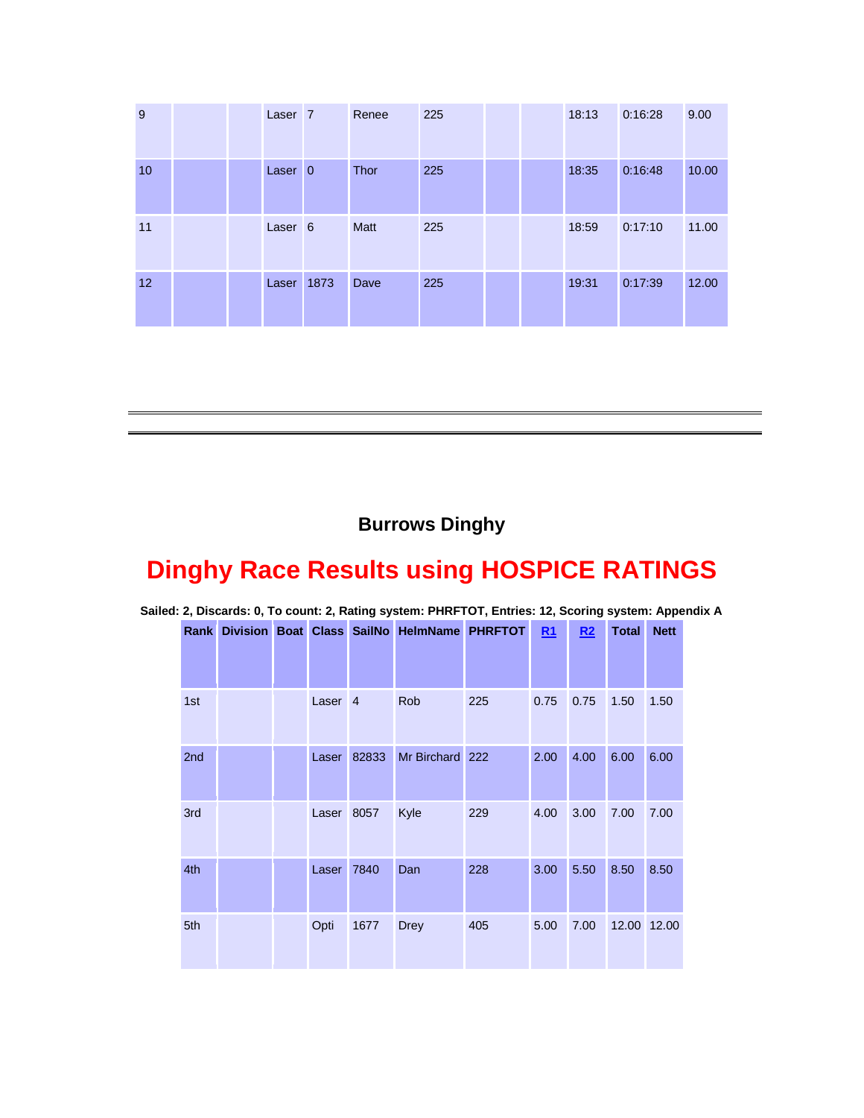| 9  |  | Laser <sub>7</sub> | Renee       | 225 |  | 18:13 | 0:16:28 | 9.00  |
|----|--|--------------------|-------------|-----|--|-------|---------|-------|
| 10 |  | Laser <sub>0</sub> | <b>Thor</b> | 225 |  | 18:35 | 0:16:48 | 10.00 |
| 11 |  | Laser <sub>6</sub> | <b>Matt</b> | 225 |  | 18:59 | 0:17:10 | 11.00 |
| 12 |  | Laser 1873         | Dave        | 225 |  | 19:31 | 0:17:39 | 12.00 |

# **Burrows Dinghy**

# **Dinghy Race Results using HOSPICE RATINGS**

| ▱   |  |  |                    |       |                                                  |     |           |                |              |             |
|-----|--|--|--------------------|-------|--------------------------------------------------|-----|-----------|----------------|--------------|-------------|
|     |  |  |                    |       | Rank Division Boat Class SailNo HelmName PHRFTOT |     | <b>R1</b> | R <sub>2</sub> | <b>Total</b> | <b>Nett</b> |
| 1st |  |  | Laser <sub>4</sub> |       | Rob                                              | 225 | 0.75      | 0.75           | 1.50         | 1.50        |
| 2nd |  |  | Laser              | 82833 | Mr Birchard 222                                  |     | 2.00      | 4.00           | 6.00         | 6.00        |
| 3rd |  |  | Laser              | 8057  | Kyle                                             | 229 | 4.00      | 3.00           | 7.00         | 7.00        |
| 4th |  |  | Laser              | 7840  | Dan                                              | 228 | 3.00      | 5.50           | 8.50         | 8.50        |
| 5th |  |  | Opti               | 1677  | <b>Drey</b>                                      | 405 | 5.00      | 7.00           |              | 12.00 12.00 |

**Sailed: 2, Discards: 0, To count: 2, Rating system: PHRFTOT, Entries: 12, Scoring system: Appendix A**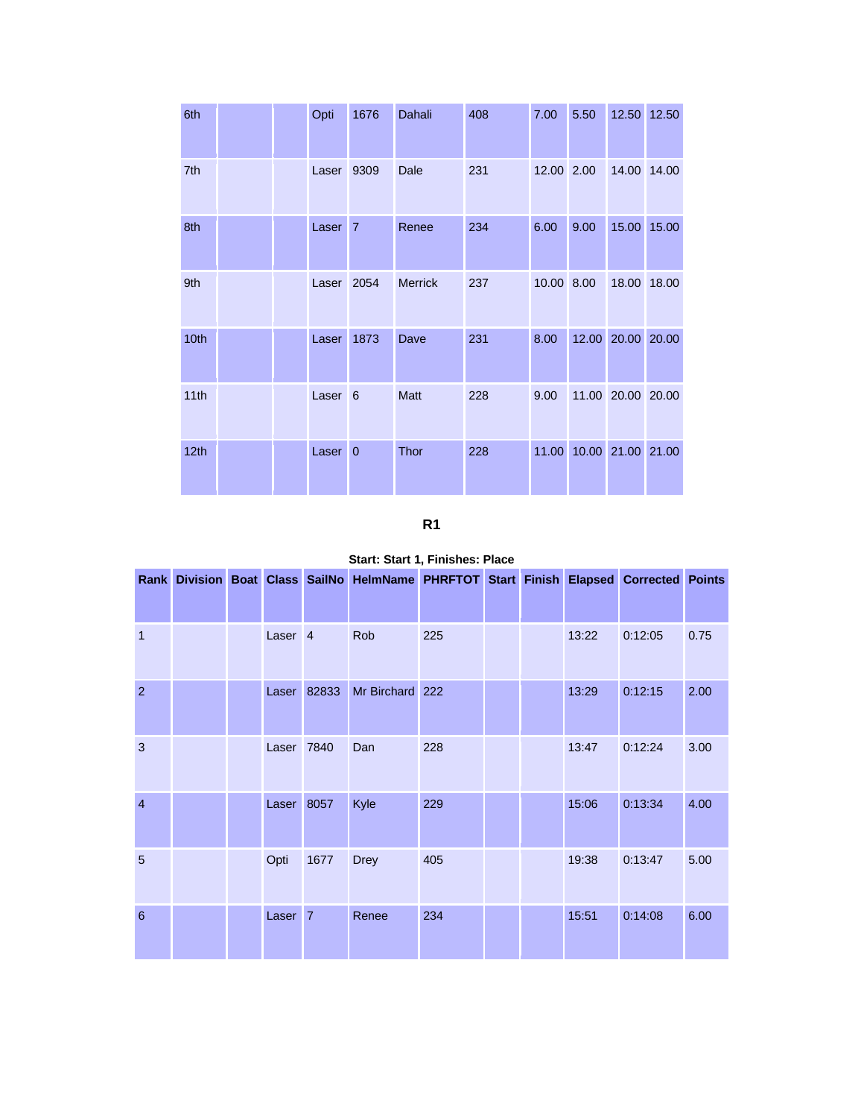| 6th  |  | Opti               | 1676         | Dahali         | 408 | 7.00       | 5.50  |                   | 12.50 12.50 |
|------|--|--------------------|--------------|----------------|-----|------------|-------|-------------------|-------------|
| 7th  |  | Laser              | 9309         | Dale           | 231 | 12.00 2.00 |       |                   | 14.00 14.00 |
| 8th  |  | Laser <sub>7</sub> |              | Renee          | 234 | 6.00       | 9.00  | 15.00             | 15.00       |
| 9th  |  | Laser              | 2054         | <b>Merrick</b> | 237 | 10.00 8.00 |       | 18.00             | 18.00       |
| 10th |  | Laser              | 1873         | Dave           | 231 | 8.00       | 12.00 | 20.00 20.00       |             |
| 11th |  | Laser              | $\sqrt{6}$   | Matt           | 228 | 9.00       |       | 11.00 20.00 20.00 |             |
| 12th |  | Laser              | $\mathbf{0}$ | <b>Thor</b>    | 228 | 11.00      |       | 10.00 21.00 21.00 |             |

**R1**

|                |  |                    |                | Rank Division Boat Class SailNo HelmName PHRFTOT Start Finish Elapsed Corrected Points |     |  |       |         |      |
|----------------|--|--------------------|----------------|----------------------------------------------------------------------------------------|-----|--|-------|---------|------|
| $\mathbf{1}$   |  | Laser <sub>4</sub> |                | Rob                                                                                    | 225 |  | 13:22 | 0:12:05 | 0.75 |
| $\overline{2}$ |  | Laser              | 82833          | Mr Birchard 222                                                                        |     |  | 13:29 | 0:12:15 | 2.00 |
| 3              |  | Laser 7840         |                | Dan                                                                                    | 228 |  | 13:47 | 0:12:24 | 3.00 |
| $\overline{4}$ |  | Laser              | 8057           | Kyle                                                                                   | 229 |  | 15:06 | 0:13:34 | 4.00 |
| 5              |  | Opti               | 1677           | <b>Drey</b>                                                                            | 405 |  | 19:38 | 0:13:47 | 5.00 |
| 6              |  | Laser              | $\overline{7}$ | Renee                                                                                  | 234 |  | 15:51 | 0:14:08 | 6.00 |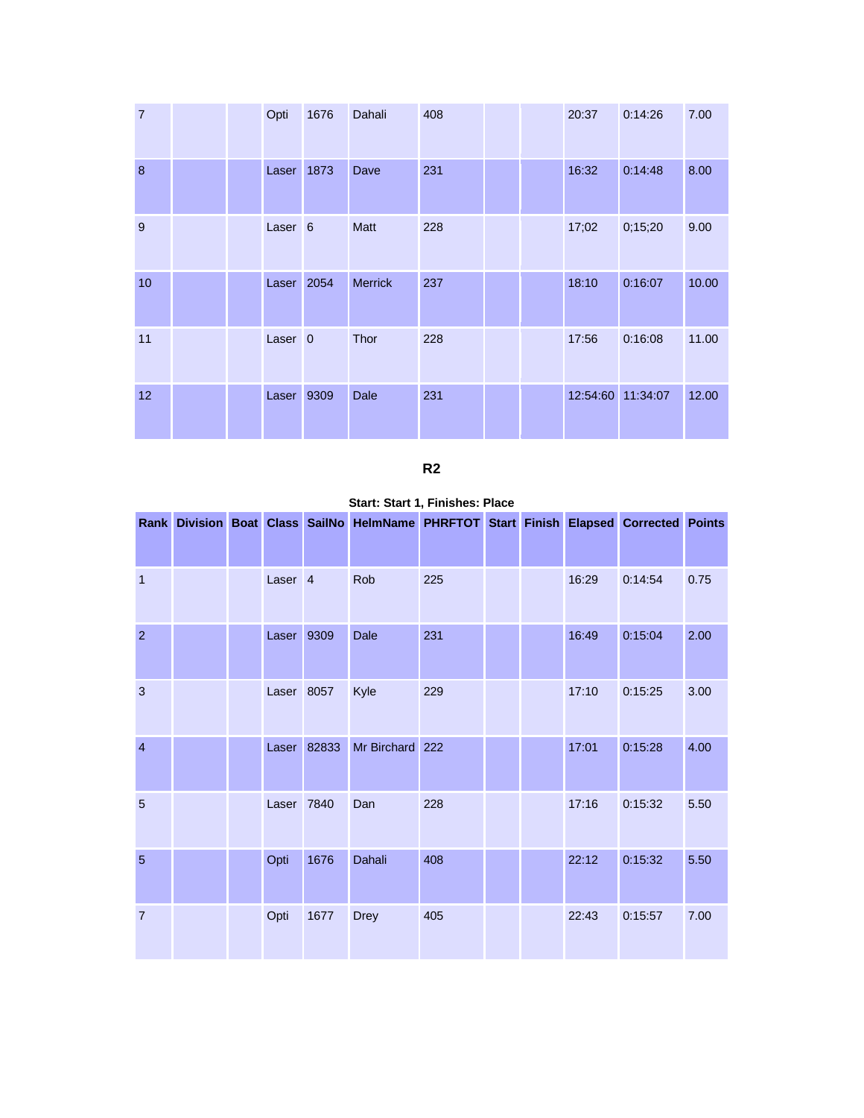| $\overline{7}$ |  | Opti               | 1676 | Dahali         | 408 |  | 20:37 | 0:14:26           | 7.00  |
|----------------|--|--------------------|------|----------------|-----|--|-------|-------------------|-------|
| 8              |  | Laser              | 1873 | Dave           | 231 |  | 16:32 | 0:14:48           | 8.00  |
| 9              |  | Laser <sub>6</sub> |      | Matt           | 228 |  | 17;02 | 0;15;20           | 9.00  |
| 10             |  | Laser 2054         |      | <b>Merrick</b> | 237 |  | 18:10 | 0:16:07           | 10.00 |
| 11             |  | Laser <sub>0</sub> |      | Thor           | 228 |  | 17:56 | 0:16:08           | 11.00 |
| 12             |  | Laser 9309         |      | Dale           | 231 |  |       | 12:54:60 11:34:07 | 12.00 |

|  | ۰. |
|--|----|
|  |    |

| Start: Start 1, Finishes: Place |  |  |  |  |
|---------------------------------|--|--|--|--|
|---------------------------------|--|--|--|--|

|                |  |                    |             | Rank Division Boat Class SailNo HelmName PHRFTOT Start Finish Elapsed Corrected Points |     |  |       |         |      |
|----------------|--|--------------------|-------------|----------------------------------------------------------------------------------------|-----|--|-------|---------|------|
| 1              |  | Laser <sub>4</sub> |             | Rob                                                                                    | 225 |  | 16:29 | 0:14:54 | 0.75 |
| $\overline{2}$ |  | Laser 9309         |             | Dale                                                                                   | 231 |  | 16:49 | 0:15:04 | 2.00 |
| $\mathbf{3}$   |  | Laser 8057         |             | Kyle                                                                                   | 229 |  | 17:10 | 0:15:25 | 3.00 |
| $\overline{4}$ |  |                    | Laser 82833 | Mr Birchard 222                                                                        |     |  | 17:01 | 0:15:28 | 4.00 |
| 5              |  | Laser 7840         |             | Dan                                                                                    | 228 |  | 17:16 | 0:15:32 | 5.50 |
| 5              |  | Opti               | 1676        | Dahali                                                                                 | 408 |  | 22:12 | 0:15:32 | 5.50 |
| $\overline{7}$ |  | Opti               | 1677        | <b>Drey</b>                                                                            | 405 |  | 22:43 | 0:15:57 | 7.00 |